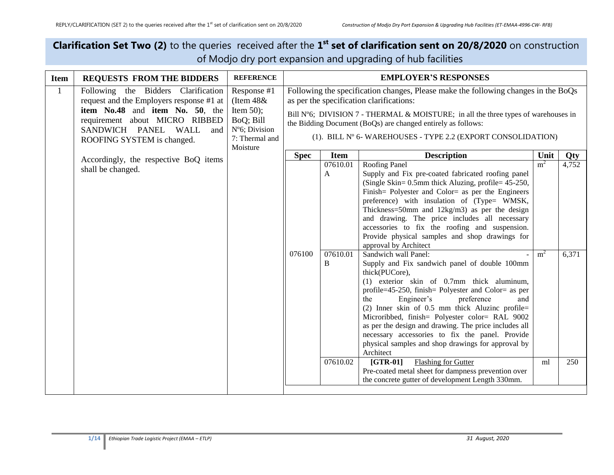## **Clarification Set Two (2)** to the queries received after the 1<sup>st</sup> set of clarification sent on 20/8/2020 on construction of Modjo dry port expansion and upgrading of hub facilities

| <b>Item</b>  | <b>REQUESTS FROM THE BIDDERS</b>                                                                                                                                                                                 | <b>REFERENCE</b>                                                                          |             |             | <b>EMPLOYER'S RESPONSES</b>                                                                                                                                                                                                                                                                                                                                                                                                                                                                          |        |                                      |                                                                                                                                                                                                                                                                                                                                                                                                                                                                                                 |                                  |                |
|--------------|------------------------------------------------------------------------------------------------------------------------------------------------------------------------------------------------------------------|-------------------------------------------------------------------------------------------|-------------|-------------|------------------------------------------------------------------------------------------------------------------------------------------------------------------------------------------------------------------------------------------------------------------------------------------------------------------------------------------------------------------------------------------------------------------------------------------------------------------------------------------------------|--------|--------------------------------------|-------------------------------------------------------------------------------------------------------------------------------------------------------------------------------------------------------------------------------------------------------------------------------------------------------------------------------------------------------------------------------------------------------------------------------------------------------------------------------------------------|----------------------------------|----------------|
| $\mathbf{1}$ | Following the Bidders Clarification<br>request and the Employers response #1 at<br>item No.48 and item No. 50, the<br>requirement about MICRO RIBBED<br>SANDWICH PANEL WALL<br>and<br>ROOFING SYSTEM is changed. | Response #1<br>(Item $48&$<br>Item $50$ ;<br>BoQ; Bill<br>N°6; Division<br>7: Thermal and |             |             | Following the specification changes, Please make the following changes in the BoQs<br>as per the specification clarifications:<br>Bill $N^{\circ}6$ ; DIVISION 7 - THERMAL & MOISTURE; in all the three types of warehouses in<br>the Bidding Document (BoQs) are changed entirely as follows:<br>(1). BILL N° 6- WAREHOUSES - TYPE 2.2 (EXPORT CONSOLIDATION)                                                                                                                                       |        |                                      |                                                                                                                                                                                                                                                                                                                                                                                                                                                                                                 |                                  |                |
|              |                                                                                                                                                                                                                  | Moisture                                                                                  | <b>Spec</b> | <b>Item</b> | <b>Description</b>                                                                                                                                                                                                                                                                                                                                                                                                                                                                                   | Unit   | <b>Qty</b>                           |                                                                                                                                                                                                                                                                                                                                                                                                                                                                                                 |                                  |                |
|              | Accordingly, the respective BoQ items<br>shall be changed.                                                                                                                                                       |                                                                                           |             |             |                                                                                                                                                                                                                                                                                                                                                                                                                                                                                                      | 076100 | 07610.01<br>$\mathbf{A}$<br>07610.01 | Roofing Panel<br>Supply and Fix pre-coated fabricated roofing panel<br>(Single Skin= 0.5mm thick Aluzing, profile= 45-250,<br>Finish = Polyester and Color = as per the Engineers<br>preference) with insulation of (Type= WMSK,<br>Thickness=50mm and $12\text{kg/m3}$ as per the design<br>and drawing. The price includes all necessary<br>accessories to fix the roofing and suspension.<br>Provide physical samples and shop drawings for<br>approval by Architect<br>Sandwich wall Panel: | m <sup>2</sup><br>m <sup>2</sup> | 4,752<br>6,371 |
|              |                                                                                                                                                                                                                  |                                                                                           |             | B           | Supply and Fix sandwich panel of double 100mm<br>thick(PUCore),<br>(1) exterior skin of 0.7mm thick aluminum,<br>profile=45-250, finish= Polyester and Color= as per<br>Engineer's<br>preference<br>the<br>and<br>(2) Inner skin of $0.5$ mm thick Aluzinc profile=<br>Microribbed, finish= Polyester color= RAL 9002<br>as per the design and drawing. The price includes all<br>necessary accessories to fix the panel. Provide<br>physical samples and shop drawings for approval by<br>Architect |        |                                      |                                                                                                                                                                                                                                                                                                                                                                                                                                                                                                 |                                  |                |
|              |                                                                                                                                                                                                                  |                                                                                           |             | 07610.02    | <b>Flashing for Gutter</b><br>$[GTR-01]$<br>Pre-coated metal sheet for dampness prevention over<br>the concrete gutter of development Length 330mm.                                                                                                                                                                                                                                                                                                                                                  | ml     | 250                                  |                                                                                                                                                                                                                                                                                                                                                                                                                                                                                                 |                                  |                |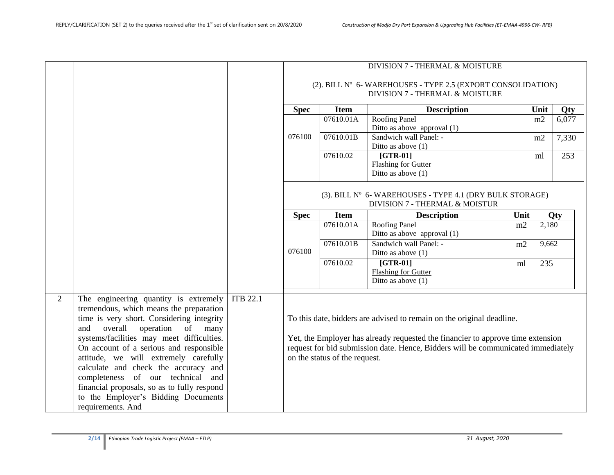|   |                                                                                                                                                                                                                                                                                                                                                                                                                                                                                                     |                 |             |                               | DIVISION 7 - THERMAL & MOISTURE<br>(2). BILL N° 6- WAREHOUSES - TYPE 2.5 (EXPORT CONSOLIDATION)                                                                                                                                              |      |       |       |
|---|-----------------------------------------------------------------------------------------------------------------------------------------------------------------------------------------------------------------------------------------------------------------------------------------------------------------------------------------------------------------------------------------------------------------------------------------------------------------------------------------------------|-----------------|-------------|-------------------------------|----------------------------------------------------------------------------------------------------------------------------------------------------------------------------------------------------------------------------------------------|------|-------|-------|
|   |                                                                                                                                                                                                                                                                                                                                                                                                                                                                                                     |                 |             |                               | DIVISION 7 - THERMAL & MOISTURE                                                                                                                                                                                                              |      |       |       |
|   |                                                                                                                                                                                                                                                                                                                                                                                                                                                                                                     |                 | <b>Spec</b> | <b>Item</b>                   | <b>Description</b>                                                                                                                                                                                                                           |      | Unit  | Qty   |
|   |                                                                                                                                                                                                                                                                                                                                                                                                                                                                                                     |                 |             | 07610.01A                     | Roofing Panel<br>Ditto as above approval (1)                                                                                                                                                                                                 |      | m2    | 6,077 |
|   |                                                                                                                                                                                                                                                                                                                                                                                                                                                                                                     |                 | 076100      | 07610.01B                     | Sandwich wall Panel: -<br>Ditto as above $(1)$                                                                                                                                                                                               |      | m2    | 7,330 |
|   |                                                                                                                                                                                                                                                                                                                                                                                                                                                                                                     |                 |             | 07610.02                      | $[GTR-01]$<br>Flashing for Gutter<br>Ditto as above $(1)$                                                                                                                                                                                    |      | ml    | 253   |
|   |                                                                                                                                                                                                                                                                                                                                                                                                                                                                                                     |                 |             |                               | (3). BILL N° 6- WAREHOUSES - TYPE 4.1 (DRY BULK STORAGE)<br>DIVISION 7 - THERMAL & MOISTUR                                                                                                                                                   |      |       |       |
|   |                                                                                                                                                                                                                                                                                                                                                                                                                                                                                                     |                 | <b>Spec</b> | <b>Item</b>                   | <b>Description</b>                                                                                                                                                                                                                           | Unit |       | Qty   |
|   |                                                                                                                                                                                                                                                                                                                                                                                                                                                                                                     |                 |             | 07610.01A                     | <b>Roofing Panel</b><br>Ditto as above approval (1)                                                                                                                                                                                          | m2   | 2,180 |       |
|   |                                                                                                                                                                                                                                                                                                                                                                                                                                                                                                     |                 | 076100      | 07610.01B                     | Sandwich wall Panel: -<br>Ditto as above $(1)$                                                                                                                                                                                               | m2   | 9,662 |       |
|   |                                                                                                                                                                                                                                                                                                                                                                                                                                                                                                     |                 |             | 07610.02                      | $[GTR-01]$<br><b>Flashing for Gutter</b><br>Ditto as above $(1)$                                                                                                                                                                             | ml   | 235   |       |
| 2 | The engineering quantity is extremely<br>tremendous, which means the preparation<br>time is very short. Considering integrity<br>overall<br>operation<br>and<br>of<br>many<br>systems/facilities may meet difficulties.<br>On account of a serious and responsible<br>attitude, we will extremely carefully<br>calculate and check the accuracy and<br>completeness of our technical and<br>financial proposals, so as to fully respond<br>to the Employer's Bidding Documents<br>requirements. And | <b>ITB 22.1</b> |             | on the status of the request. | To this date, bidders are advised to remain on the original deadline.<br>Yet, the Employer has already requested the financier to approve time extension<br>request for bid submission date. Hence, Bidders will be communicated immediately |      |       |       |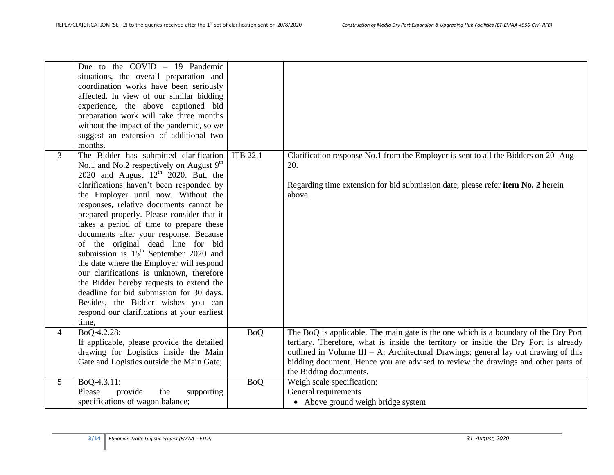|                | Due to the $COVID - 19$ Pandemic<br>situations, the overall preparation and<br>coordination works have been seriously<br>affected. In view of our similar bidding<br>experience, the above captioned bid<br>preparation work will take three months<br>without the impact of the pandemic, so we<br>suggest an extension of additional two<br>months.                                                                                                                                                                                                                                                                                                                                                                                                        |                 |                                                                                                                                                                                                                                                                                                                                                                                  |
|----------------|--------------------------------------------------------------------------------------------------------------------------------------------------------------------------------------------------------------------------------------------------------------------------------------------------------------------------------------------------------------------------------------------------------------------------------------------------------------------------------------------------------------------------------------------------------------------------------------------------------------------------------------------------------------------------------------------------------------------------------------------------------------|-----------------|----------------------------------------------------------------------------------------------------------------------------------------------------------------------------------------------------------------------------------------------------------------------------------------------------------------------------------------------------------------------------------|
| 3              | The Bidder has submitted clarification<br>No.1 and No.2 respectively on August $9th$<br>2020 and August $12th$ 2020. But, the<br>clarifications haven't been responded by<br>the Employer until now. Without the<br>responses, relative documents cannot be<br>prepared properly. Please consider that it<br>takes a period of time to prepare these<br>documents after your response. Because<br>of the original dead line for bid<br>submission is $15th$ September 2020 and<br>the date where the Employer will respond<br>our clarifications is unknown, therefore<br>the Bidder hereby requests to extend the<br>deadline for bid submission for 30 days.<br>Besides, the Bidder wishes you can<br>respond our clarifications at your earliest<br>time, | <b>ITB 22.1</b> | Clarification response No.1 from the Employer is sent to all the Bidders on 20- Aug-<br>20.<br>Regarding time extension for bid submission date, please refer item No. 2 herein<br>above.                                                                                                                                                                                        |
| $\overline{4}$ | BoQ-4.2.28:<br>If applicable, please provide the detailed<br>drawing for Logistics inside the Main<br>Gate and Logistics outside the Main Gate;                                                                                                                                                                                                                                                                                                                                                                                                                                                                                                                                                                                                              | <b>BoQ</b>      | The BoQ is applicable. The main gate is the one which is a boundary of the Dry Port<br>tertiary. Therefore, what is inside the territory or inside the Dry Port is already<br>outlined in Volume III – A: Architectural Drawings; general lay out drawing of this<br>bidding document. Hence you are advised to review the drawings and other parts of<br>the Bidding documents. |
| 5              | BoQ-4.3.11:<br>Please<br>provide<br>the<br>supporting<br>specifications of wagon balance;                                                                                                                                                                                                                                                                                                                                                                                                                                                                                                                                                                                                                                                                    | <b>BoQ</b>      | Weigh scale specification:<br>General requirements<br>• Above ground weigh bridge system                                                                                                                                                                                                                                                                                         |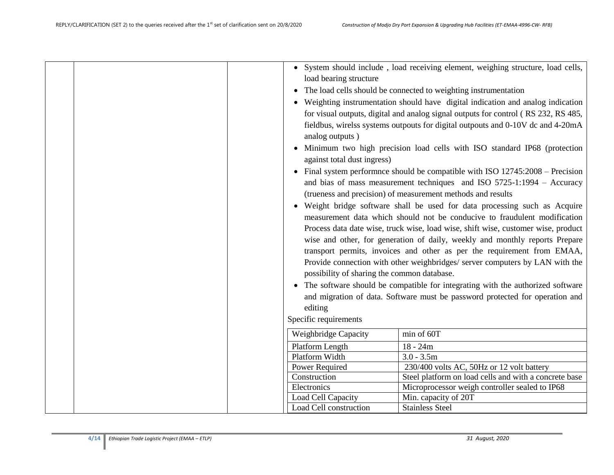| • Minimum two high precision load cells with ISO standard IP68 (protection<br>against total dust ingress)<br>• Final system performnce should be compatible with ISO $12745:2008$ – Precision<br>and bias of mass measurement techniques and ISO 5725-1:1994 - Accuracy<br>(trueness and precision) of measurement methods and results<br>• Weight bridge software shall be used for data processing such as Acquire<br>measurement data which should not be conducive to fraudulent modification<br>Process data date wise, truck wise, load wise, shift wise, customer wise, product<br>wise and other, for generation of daily, weekly and monthly reports Prepare<br>transport permits, invoices and other as per the requirement from EMAA,<br>Provide connection with other weighbridges/ server computers by LAN with the<br>possibility of sharing the common database.<br>• The software should be compatible for integrating with the authorized software<br>and migration of data. Software must be password protected for operation and<br>editing<br>Specific requirements<br>Weighbridge Capacity<br>min of 60T<br>Platform Length<br>$18 - 24m$<br>Platform Width<br>$3.0 - 3.5m$<br>230/400 volts AC, 50Hz or 12 volt battery<br>Power Required<br>Steel platform on load cells and with a concrete base<br>Construction<br>Electronics<br>Microprocessor weigh controller sealed to IP68<br>Load Cell Capacity<br>Min. capacity of 20T<br>Load Cell construction<br><b>Stainless Steel</b> |  | load bearing structure<br>analog outputs) | • System should include, load receiving element, weighing structure, load cells,<br>• The load cells should be connected to weighting instrumentation<br>• Weighting instrumentation should have digital indication and analog indication<br>for visual outputs, digital and analog signal outputs for control (RS 232, RS 485,<br>fieldbus, wirelss systems outpouts for digital outpouts and 0-10V dc and 4-20mA |
|-------------------------------------------------------------------------------------------------------------------------------------------------------------------------------------------------------------------------------------------------------------------------------------------------------------------------------------------------------------------------------------------------------------------------------------------------------------------------------------------------------------------------------------------------------------------------------------------------------------------------------------------------------------------------------------------------------------------------------------------------------------------------------------------------------------------------------------------------------------------------------------------------------------------------------------------------------------------------------------------------------------------------------------------------------------------------------------------------------------------------------------------------------------------------------------------------------------------------------------------------------------------------------------------------------------------------------------------------------------------------------------------------------------------------------------------------------------------------------------------------------------|--|-------------------------------------------|--------------------------------------------------------------------------------------------------------------------------------------------------------------------------------------------------------------------------------------------------------------------------------------------------------------------------------------------------------------------------------------------------------------------|
|                                                                                                                                                                                                                                                                                                                                                                                                                                                                                                                                                                                                                                                                                                                                                                                                                                                                                                                                                                                                                                                                                                                                                                                                                                                                                                                                                                                                                                                                                                             |  |                                           |                                                                                                                                                                                                                                                                                                                                                                                                                    |
|                                                                                                                                                                                                                                                                                                                                                                                                                                                                                                                                                                                                                                                                                                                                                                                                                                                                                                                                                                                                                                                                                                                                                                                                                                                                                                                                                                                                                                                                                                             |  |                                           |                                                                                                                                                                                                                                                                                                                                                                                                                    |
|                                                                                                                                                                                                                                                                                                                                                                                                                                                                                                                                                                                                                                                                                                                                                                                                                                                                                                                                                                                                                                                                                                                                                                                                                                                                                                                                                                                                                                                                                                             |  |                                           |                                                                                                                                                                                                                                                                                                                                                                                                                    |
|                                                                                                                                                                                                                                                                                                                                                                                                                                                                                                                                                                                                                                                                                                                                                                                                                                                                                                                                                                                                                                                                                                                                                                                                                                                                                                                                                                                                                                                                                                             |  |                                           |                                                                                                                                                                                                                                                                                                                                                                                                                    |
|                                                                                                                                                                                                                                                                                                                                                                                                                                                                                                                                                                                                                                                                                                                                                                                                                                                                                                                                                                                                                                                                                                                                                                                                                                                                                                                                                                                                                                                                                                             |  |                                           |                                                                                                                                                                                                                                                                                                                                                                                                                    |
|                                                                                                                                                                                                                                                                                                                                                                                                                                                                                                                                                                                                                                                                                                                                                                                                                                                                                                                                                                                                                                                                                                                                                                                                                                                                                                                                                                                                                                                                                                             |  |                                           |                                                                                                                                                                                                                                                                                                                                                                                                                    |
|                                                                                                                                                                                                                                                                                                                                                                                                                                                                                                                                                                                                                                                                                                                                                                                                                                                                                                                                                                                                                                                                                                                                                                                                                                                                                                                                                                                                                                                                                                             |  |                                           |                                                                                                                                                                                                                                                                                                                                                                                                                    |
|                                                                                                                                                                                                                                                                                                                                                                                                                                                                                                                                                                                                                                                                                                                                                                                                                                                                                                                                                                                                                                                                                                                                                                                                                                                                                                                                                                                                                                                                                                             |  |                                           |                                                                                                                                                                                                                                                                                                                                                                                                                    |
|                                                                                                                                                                                                                                                                                                                                                                                                                                                                                                                                                                                                                                                                                                                                                                                                                                                                                                                                                                                                                                                                                                                                                                                                                                                                                                                                                                                                                                                                                                             |  |                                           |                                                                                                                                                                                                                                                                                                                                                                                                                    |
|                                                                                                                                                                                                                                                                                                                                                                                                                                                                                                                                                                                                                                                                                                                                                                                                                                                                                                                                                                                                                                                                                                                                                                                                                                                                                                                                                                                                                                                                                                             |  |                                           |                                                                                                                                                                                                                                                                                                                                                                                                                    |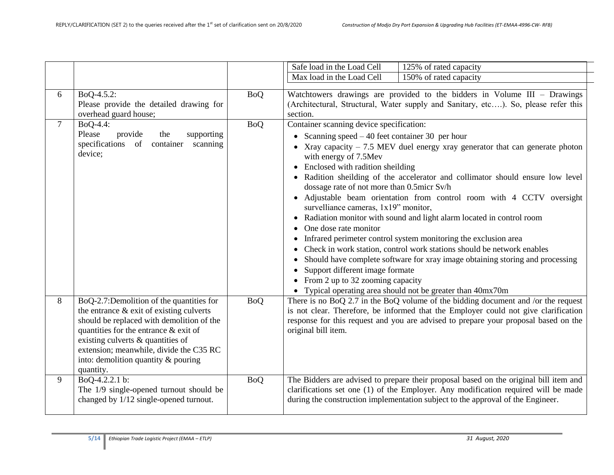|        |                                                                                                                                                                                                                                                                                                                   |            | Safe load in the Load Cell<br>125% of rated capacity                                                                                                                                                                                                                                                                                                                                                                                                                                                                                                                                                                                                                                                                                                                                                                                                                                                                                                                                               |
|--------|-------------------------------------------------------------------------------------------------------------------------------------------------------------------------------------------------------------------------------------------------------------------------------------------------------------------|------------|----------------------------------------------------------------------------------------------------------------------------------------------------------------------------------------------------------------------------------------------------------------------------------------------------------------------------------------------------------------------------------------------------------------------------------------------------------------------------------------------------------------------------------------------------------------------------------------------------------------------------------------------------------------------------------------------------------------------------------------------------------------------------------------------------------------------------------------------------------------------------------------------------------------------------------------------------------------------------------------------------|
|        |                                                                                                                                                                                                                                                                                                                   |            | 150% of rated capacity<br>Max load in the Load Cell                                                                                                                                                                                                                                                                                                                                                                                                                                                                                                                                                                                                                                                                                                                                                                                                                                                                                                                                                |
| 6      | BoQ-4.5.2:<br>Please provide the detailed drawing for<br>overhead guard house;                                                                                                                                                                                                                                    | <b>BoQ</b> | Watchtowers drawings are provided to the bidders in Volume $III$ – Drawings<br>(Architectural, Structural, Water supply and Sanitary, etc). So, please refer this<br>section.                                                                                                                                                                                                                                                                                                                                                                                                                                                                                                                                                                                                                                                                                                                                                                                                                      |
| $\tau$ | BoQ-4.4:<br>Please<br>provide<br>supporting<br>the<br>specifications of<br>container scanning<br>device;                                                                                                                                                                                                          | <b>BoQ</b> | Container scanning device specification:<br>• Scanning speed $-40$ feet container 30 per hour<br>• Xray capacity $-7.5$ MEV duel energy xray generator that can generate photon<br>with energy of 7.5Mev<br>• Enclosed with radition sheilding<br>• Radition sheilding of the accelerator and collimator should ensure low level<br>dossage rate of not more than 0.5micr Sv/h<br>· Adjustable beam orientation from control room with 4 CCTV oversight<br>survelliance cameras, 1x19" monitor,<br>• Radiation monitor with sound and light alarm located in control room<br>One dose rate monitor<br>Infrared perimeter control system monitoring the exclusion area<br>$\bullet$<br>Check in work station, control work stations should be network enables<br>Should have complete software for xray image obtaining storing and processing<br>$\bullet$<br>Support different image formate<br>• From 2 up to 32 zooming capacity<br>• Typical operating area should not be greater than 40mx70m |
| 8      | BoQ-2.7:Demolition of the quantities for<br>the entrance $\&$ exit of existing culverts<br>should be replaced with demolition of the<br>quantities for the entrance & exit of<br>existing culverts & quantities of<br>extension; meanwhile, divide the C35 RC<br>into: demolition quantity & pouring<br>quantity. | <b>BoQ</b> | There is no BoQ 2.7 in the BoQ volume of the bidding document and /or the request<br>is not clear. Therefore, be informed that the Employer could not give clarification<br>response for this request and you are advised to prepare your proposal based on the<br>original bill item.                                                                                                                                                                                                                                                                                                                                                                                                                                                                                                                                                                                                                                                                                                             |
| 9      | BoQ-4.2.2.1 b:<br>The 1/9 single-opened turnout should be<br>changed by 1/12 single-opened turnout.                                                                                                                                                                                                               | <b>BoQ</b> | The Bidders are advised to prepare their proposal based on the original bill item and<br>clarifications set one (1) of the Employer. Any modification required will be made<br>during the construction implementation subject to the approval of the Engineer.                                                                                                                                                                                                                                                                                                                                                                                                                                                                                                                                                                                                                                                                                                                                     |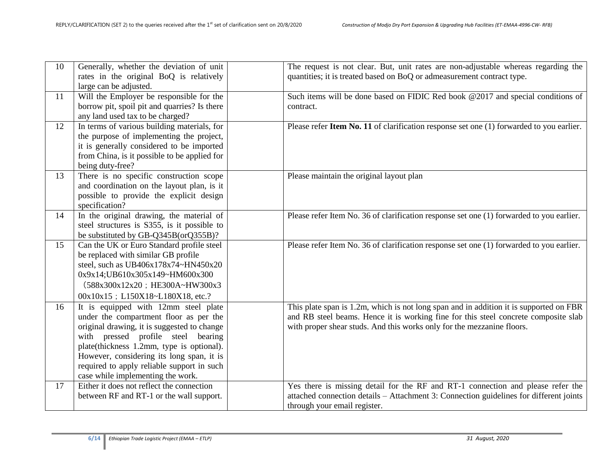| 10 | Generally, whether the deviation of unit<br>rates in the original BoQ is relatively<br>large can be adjusted.                                                                                                                                                                                                                                    | The request is not clear. But, unit rates are non-adjustable whereas regarding the<br>quantities; it is treated based on BoQ or admeasurement contract type.                                                                                            |
|----|--------------------------------------------------------------------------------------------------------------------------------------------------------------------------------------------------------------------------------------------------------------------------------------------------------------------------------------------------|---------------------------------------------------------------------------------------------------------------------------------------------------------------------------------------------------------------------------------------------------------|
| 11 | Will the Employer be responsible for the<br>borrow pit, spoil pit and quarries? Is there<br>any land used tax to be charged?                                                                                                                                                                                                                     | Such items will be done based on FIDIC Red book @2017 and special conditions of<br>contract.                                                                                                                                                            |
| 12 | In terms of various building materials, for<br>the purpose of implementing the project,<br>it is generally considered to be imported<br>from China, is it possible to be applied for<br>being duty-free?                                                                                                                                         | Please refer Item No. 11 of clarification response set one (1) forwarded to you earlier.                                                                                                                                                                |
| 13 | There is no specific construction scope<br>and coordination on the layout plan, is it<br>possible to provide the explicit design<br>specification?                                                                                                                                                                                               | Please maintain the original layout plan                                                                                                                                                                                                                |
| 14 | In the original drawing, the material of<br>steel structures is S355, is it possible to<br>be substituted by GB-Q345B(orQ355B)?                                                                                                                                                                                                                  | Please refer Item No. 36 of clarification response set one (1) forwarded to you earlier.                                                                                                                                                                |
| 15 | Can the UK or Euro Standard profile steel<br>be replaced with similar GB profile<br>steel, such as UB406x178x74~HN450x20<br>0x9x14;UB610x305x149~HM600x300<br>(588x300x12x20; HE300A~HW300x3<br>00x10x15; L150X18~L180X18, etc.?                                                                                                                 | Please refer Item No. 36 of clarification response set one (1) forwarded to you earlier.                                                                                                                                                                |
| 16 | It is equipped with 12mm steel plate<br>under the compartment floor as per the<br>original drawing, it is suggested to change<br>with pressed profile steel bearing<br>plate(thickness 1.2mm, type is optional).<br>However, considering its long span, it is<br>required to apply reliable support in such<br>case while implementing the work. | This plate span is 1.2m, which is not long span and in addition it is supported on FBR<br>and RB steel beams. Hence it is working fine for this steel concrete composite slab<br>with proper shear studs. And this works only for the mezzanine floors. |
| 17 | Either it does not reflect the connection<br>between RF and RT-1 or the wall support.                                                                                                                                                                                                                                                            | Yes there is missing detail for the RF and RT-1 connection and please refer the<br>attached connection details - Attachment 3: Connection guidelines for different joints<br>through your email register.                                               |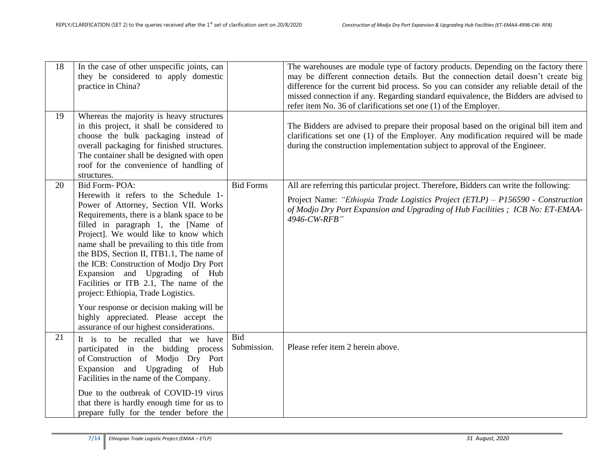| 18 | In the case of other unspecific joints, can<br>they be considered to apply domestic<br>practice in China?                                                                                                                                                                                                                                                                                                                                                                                                                                                                                                               |                    | The warehouses are module type of factory products. Depending on the factory there<br>may be different connection details. But the connection detail doesn't create big<br>difference for the current bid process. So you can consider any reliable detail of the<br>missed connection if any. Regarding standard equivalence, the Bidders are advised to<br>refer item No. 36 of clarifications set one (1) of the Employer. |
|----|-------------------------------------------------------------------------------------------------------------------------------------------------------------------------------------------------------------------------------------------------------------------------------------------------------------------------------------------------------------------------------------------------------------------------------------------------------------------------------------------------------------------------------------------------------------------------------------------------------------------------|--------------------|-------------------------------------------------------------------------------------------------------------------------------------------------------------------------------------------------------------------------------------------------------------------------------------------------------------------------------------------------------------------------------------------------------------------------------|
| 19 | Whereas the majority is heavy structures<br>in this project, it shall be considered to<br>choose the bulk packaging instead of<br>overall packaging for finished structures.<br>The container shall be designed with open<br>roof for the convenience of handling of<br>structures.                                                                                                                                                                                                                                                                                                                                     |                    | The Bidders are advised to prepare their proposal based on the original bill item and<br>clarifications set one (1) of the Employer. Any modification required will be made<br>during the construction implementation subject to approval of the Engineer.                                                                                                                                                                    |
| 20 | Bid Form-POA:<br>Herewith it refers to the Schedule 1-<br>Power of Attorney, Section VII. Works<br>Requirements, there is a blank space to be<br>filled in paragraph 1, the [Name of<br>Project]. We would like to know which<br>name shall be prevailing to this title from<br>the BDS, Section II, ITB1.1, The name of<br>the ICB: Construction of Modjo Dry Port<br>Expansion and Upgrading of Hub<br>Facilities or ITB 2.1, The name of the<br>project: Ethiopia, Trade Logistics.<br>Your response or decision making will be<br>highly appreciated. Please accept the<br>assurance of our highest considerations. | <b>Bid Forms</b>   | All are referring this particular project. Therefore, Bidders can write the following:<br>Project Name: "Ethiopia Trade Logistics Project (ETLP) – P156590 - Construction<br>of Modjo Dry Port Expansion and Upgrading of Hub Facilities; ICB No: ET-EMAA-<br>4946-CW-RFB"                                                                                                                                                    |
| 21 | It is to be recalled that we have<br>participated in the bidding process<br>of Construction of Modjo Dry Port<br>Expansion and Upgrading of Hub<br>Facilities in the name of the Company.<br>Due to the outbreak of COVID-19 virus<br>that there is hardly enough time for us to<br>prepare fully for the tender before the                                                                                                                                                                                                                                                                                             | Bid<br>Submission. | Please refer item 2 herein above.                                                                                                                                                                                                                                                                                                                                                                                             |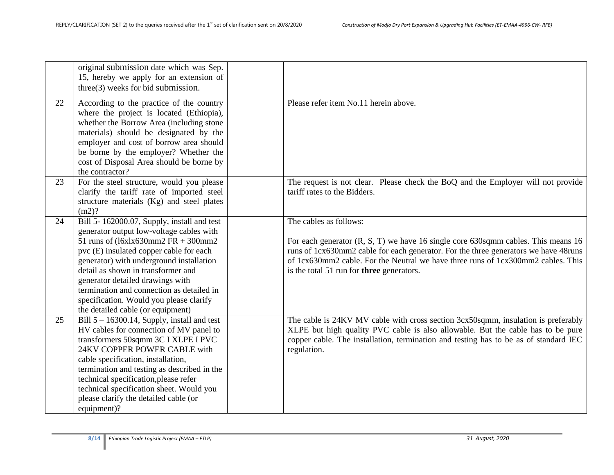|    | original submission date which was Sep.<br>15, hereby we apply for an extension of<br>three(3) weeks for bid submission.                                                                                                                                                                                                                                                                                                      |                                                                                                                                                                                                                                                                                                                                     |
|----|-------------------------------------------------------------------------------------------------------------------------------------------------------------------------------------------------------------------------------------------------------------------------------------------------------------------------------------------------------------------------------------------------------------------------------|-------------------------------------------------------------------------------------------------------------------------------------------------------------------------------------------------------------------------------------------------------------------------------------------------------------------------------------|
| 22 | According to the practice of the country<br>where the project is located (Ethiopia),<br>whether the Borrow Area (including stone<br>materials) should be designated by the<br>employer and cost of borrow area should<br>be borne by the employer? Whether the<br>cost of Disposal Area should be borne by<br>the contractor?                                                                                                 | Please refer item No.11 herein above.                                                                                                                                                                                                                                                                                               |
| 23 | For the steel structure, would you please<br>clarify the tariff rate of imported steel<br>structure materials (Kg) and steel plates<br>(m2)?                                                                                                                                                                                                                                                                                  | The request is not clear. Please check the BoQ and the Employer will not provide<br>tariff rates to the Bidders.                                                                                                                                                                                                                    |
| 24 | Bill 5-162000.07, Supply, install and test<br>generator output low-voltage cables with<br>51 runs of $(16xlx630mm2 FR + 300mm2$<br>pvc (E) insulated copper cable for each<br>generator) with underground installation<br>detail as shown in transformer and<br>generator detailed drawings with<br>termination and connection as detailed in<br>specification. Would you please clarify<br>the detailed cable (or equipment) | The cables as follows:<br>For each generator (R, S, T) we have 16 single core 630sqmm cables. This means 16<br>runs of 1cx630mm2 cable for each generator. For the three generators we have 48runs<br>of 1cx630mm2 cable. For the Neutral we have three runs of 1cx300mm2 cables. This<br>is the total 51 run for three generators. |
| 25 | Bill $5 - 16300.14$ , Supply, install and test<br>HV cables for connection of MV panel to<br>transformers 50sqmm 3C I XLPE I PVC<br>24KV COPPER POWER CABLE with<br>cable specification, installation,<br>termination and testing as described in the<br>technical specification, please refer<br>technical specification sheet. Would you<br>please clarify the detailed cable (or<br>equipment)?                            | The cable is 24KV MV cable with cross section 3cx50sqmm, insulation is preferably<br>XLPE but high quality PVC cable is also allowable. But the cable has to be pure<br>copper cable. The installation, termination and testing has to be as of standard IEC<br>regulation.                                                         |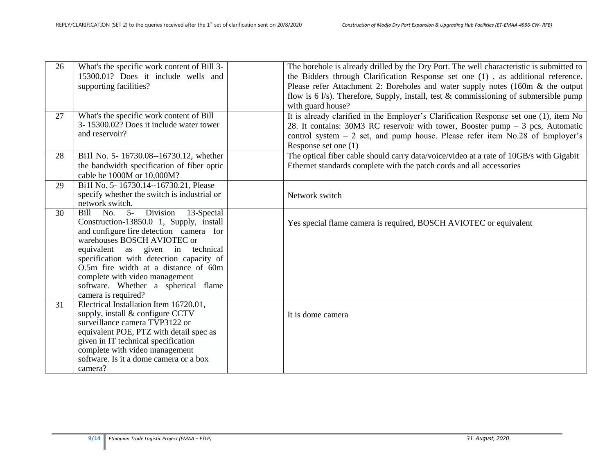| 26 | What's the specific work content of Bill 3-<br>15300.01? Does it include wells and<br>supporting facilities?                                                                                                                                                                                                                                                                               | The borehole is already drilled by the Dry Port. The well characteristic is submitted to<br>the Bidders through Clarification Response set one (1), as additional reference.<br>Please refer Attachment 2: Boreholes and water supply notes (160m & the output<br>flow is 6 $1/s$ ). Therefore, Supply, install, test & commissioning of submersible pump<br>with guard house? |
|----|--------------------------------------------------------------------------------------------------------------------------------------------------------------------------------------------------------------------------------------------------------------------------------------------------------------------------------------------------------------------------------------------|--------------------------------------------------------------------------------------------------------------------------------------------------------------------------------------------------------------------------------------------------------------------------------------------------------------------------------------------------------------------------------|
| 27 | What's the specific work content of Bill<br>3-15300.02? Does it include water tower<br>and reservoir?                                                                                                                                                                                                                                                                                      | It is already clarified in the Employer's Clarification Response set one (1), item No<br>28. It contains: $30M3$ RC reservoir with tower, Booster pump $-3$ pcs, Automatic<br>control system $-2$ set, and pump house. Please refer item No.28 of Employer's<br>Response set one (1)                                                                                           |
| 28 | Bi11 No. 5-16730.08--16730.12, whether<br>the bandwidth specification of fiber optic<br>cable be 1000M or 10,000M?                                                                                                                                                                                                                                                                         | The optical fiber cable should carry data/voice/video at a rate of 10GB/s with Gigabit<br>Ethernet standards complete with the patch cords and all accessories                                                                                                                                                                                                                 |
| 29 | Bi1l No. 5-16730.14--16730.21, Please<br>specify whether the switch is industrial or<br>network switch.                                                                                                                                                                                                                                                                                    | Network switch                                                                                                                                                                                                                                                                                                                                                                 |
| 30 | Division<br>No.<br>$5-$<br>13-Special<br>Bill<br>Construction-13850.0 1, Supply, install<br>and configure fire detection camera for<br>warehouses BOSCH AVIOTEC or<br>equivalent as given in technical<br>specification with detection capacity of<br>O.5m fire width at a distance of 60m<br>complete with video management<br>software. Whether a spherical flame<br>camera is required? | Yes special flame camera is required, BOSCH AVIOTEC or equivalent                                                                                                                                                                                                                                                                                                              |
| 31 | Electrical Installation Item 16720.01,<br>supply, install & configure CCTV<br>surveillance camera TVP3122 or<br>equivalent POE, PTZ with detail spec as<br>given in IT technical specification<br>complete with video management<br>software. Is it a dome camera or a box<br>camera?                                                                                                      | It is dome camera                                                                                                                                                                                                                                                                                                                                                              |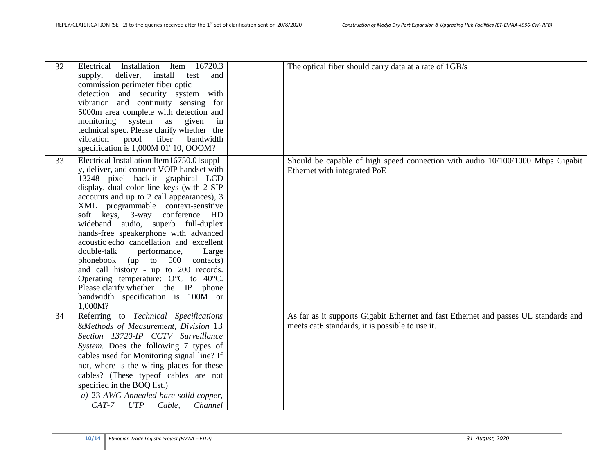| 32 | Electrical Installation Item 16720.3<br>deliver, install<br>supply,<br>test<br>and<br>commission perimeter fiber optic<br>detection and security system with<br>vibration and continuity sensing for<br>5000m area complete with detection and<br>monitoring system<br>as<br>given<br>in<br>technical spec. Please clarify whether the<br>proof<br>fiber<br>vibration<br>bandwidth<br>specification is 1,000M 01' 10, OOOM?                                                                                                                                                                                                                                                                       | The optical fiber should carry data at a rate of 1GB/s                                                                                  |
|----|---------------------------------------------------------------------------------------------------------------------------------------------------------------------------------------------------------------------------------------------------------------------------------------------------------------------------------------------------------------------------------------------------------------------------------------------------------------------------------------------------------------------------------------------------------------------------------------------------------------------------------------------------------------------------------------------------|-----------------------------------------------------------------------------------------------------------------------------------------|
| 33 | Electrical Installation Item16750.01suppl<br>y, deliver, and connect VOIP handset with<br>13248 pixel backlit graphical LCD<br>display, dual color line keys (with 2 SIP<br>accounts and up to 2 call appearances), 3<br>XML programmable context-sensitive<br>soft keys, 3-way conference HD<br>wideband audio, superb full-duplex<br>hands-free speakerphone with advanced<br>acoustic echo cancellation and excellent<br>double-talk<br>performance,<br>Large<br>phonebook (up to 500<br>contacts)<br>and call history - up to 200 records.<br>Operating temperature: $O^{\circ}C$ to 40 $^{\circ}C$ .<br>Please clarify whether the IP phone<br>bandwidth specification is 100M or<br>1,000M? | Should be capable of high speed connection with audio 10/100/1000 Mbps Gigabit<br>Ethernet with integrated PoE                          |
| 34 | Referring to Technical Specifications<br>&Methods of Measurement, Division 13<br>Section 13720-IP CCTV Surveillance<br>System. Does the following 7 types of<br>cables used for Monitoring signal line? If<br>not, where is the wiring places for these<br>cables? (These typeof cables are not<br>specified in the BOQ list.)<br>a) 23 AWG Annealed bare solid copper,<br>$CAT-7$<br><b>UTP</b><br>Cable,<br>Channel                                                                                                                                                                                                                                                                             | As far as it supports Gigabit Ethernet and fast Ethernet and passes UL standards and<br>meets cat6 standards, it is possible to use it. |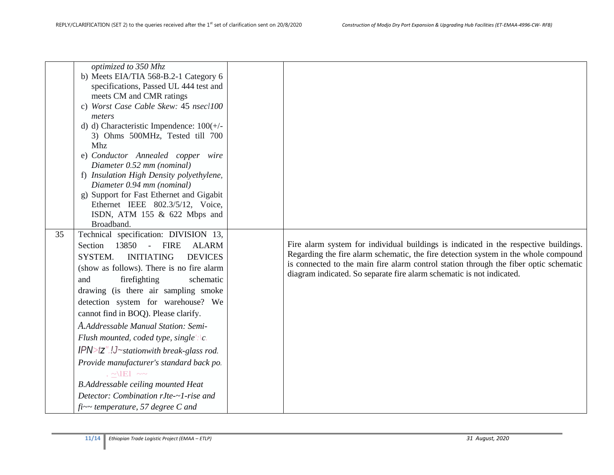| 35 | optimized to 350 Mhz<br>b) Meets EIA/TIA 568-B.2-1 Category 6<br>specifications, Passed UL 444 test and<br>meets CM and CMR ratings<br>c) Worst Case Cable Skew: 45 nsecl100<br>meters<br>d) d) Characteristic Impendence: 100(+/-<br>3) Ohms 500MHz, Tested till 700<br>Mhz<br>e) Conductor Annealed copper wire<br>Diameter 0.52 mm (nominal)<br>f) Insulation High Density polyethylene,<br>Diameter 0.94 mm (nominal)<br>g) Support for Fast Ethernet and Gigabit<br>Ethernet IEEE 802.3/5/12, Voice,<br>ISDN, ATM $155 \& 622$ Mbps and<br>Broadband.<br>Technical specification: DIVISION 13,<br>13850 - FIRE<br>Section<br><b>ALARM</b><br>SYSTEM.<br><b>INITIATING</b><br><b>DEVICES</b><br>(show as follows). There is no fire alarm<br>firefighting<br>schematic<br>and<br>drawing (is there air sampling smoke<br>detection system for warehouse? We<br>cannot find in BOQ). Please clarify.<br>A.Addressable Manual Station: Semi-<br>Flush mounted, coded type, single':\c.<br>$IPN > tZ$ ".!J~stationwith break-glass rod. | Fire alarm system for individual buildings is indicated in the respective buildings.<br>Regarding the fire alarm schematic, the fire detection system in the whole compound<br>is connected to the main fire alarm control station through the fiber optic schematic<br>diagram indicated. So separate fire alarm schematic is not indicated. |
|----|------------------------------------------------------------------------------------------------------------------------------------------------------------------------------------------------------------------------------------------------------------------------------------------------------------------------------------------------------------------------------------------------------------------------------------------------------------------------------------------------------------------------------------------------------------------------------------------------------------------------------------------------------------------------------------------------------------------------------------------------------------------------------------------------------------------------------------------------------------------------------------------------------------------------------------------------------------------------------------------------------------------------------------------|-----------------------------------------------------------------------------------------------------------------------------------------------------------------------------------------------------------------------------------------------------------------------------------------------------------------------------------------------|
|    |                                                                                                                                                                                                                                                                                                                                                                                                                                                                                                                                                                                                                                                                                                                                                                                                                                                                                                                                                                                                                                          |                                                                                                                                                                                                                                                                                                                                               |
|    |                                                                                                                                                                                                                                                                                                                                                                                                                                                                                                                                                                                                                                                                                                                                                                                                                                                                                                                                                                                                                                          |                                                                                                                                                                                                                                                                                                                                               |
|    |                                                                                                                                                                                                                                                                                                                                                                                                                                                                                                                                                                                                                                                                                                                                                                                                                                                                                                                                                                                                                                          |                                                                                                                                                                                                                                                                                                                                               |
|    | Provide manufacturer's standard back po.                                                                                                                                                                                                                                                                                                                                                                                                                                                                                                                                                                                                                                                                                                                                                                                                                                                                                                                                                                                                 |                                                                                                                                                                                                                                                                                                                                               |
|    | $\sim$ $\sim$ $\sim$ $\sim$                                                                                                                                                                                                                                                                                                                                                                                                                                                                                                                                                                                                                                                                                                                                                                                                                                                                                                                                                                                                              |                                                                                                                                                                                                                                                                                                                                               |
|    | <b>B.Addressable ceiling mounted Heat</b>                                                                                                                                                                                                                                                                                                                                                                                                                                                                                                                                                                                                                                                                                                                                                                                                                                                                                                                                                                                                |                                                                                                                                                                                                                                                                                                                                               |
|    | Detector: Combination rJte-~1-rise and                                                                                                                                                                                                                                                                                                                                                                                                                                                                                                                                                                                                                                                                                                                                                                                                                                                                                                                                                                                                   |                                                                                                                                                                                                                                                                                                                                               |
|    | $fi$ ~~ temperature, 57 degree C and                                                                                                                                                                                                                                                                                                                                                                                                                                                                                                                                                                                                                                                                                                                                                                                                                                                                                                                                                                                                     |                                                                                                                                                                                                                                                                                                                                               |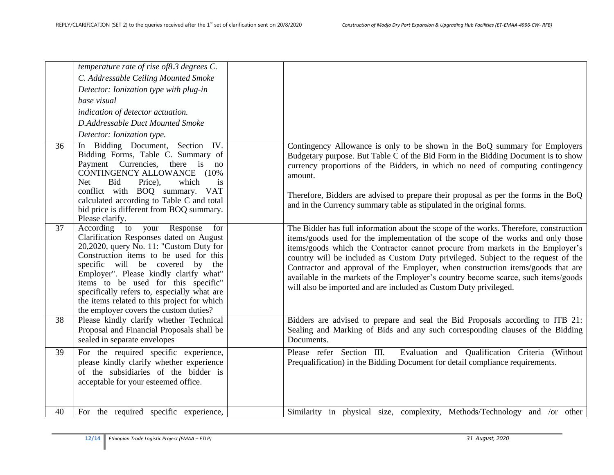|    | temperature rate of rise of 8.3 degrees C.<br>C. Addressable Ceiling Mounted Smoke<br>Detector: Ionization type with plug-in<br>base visual<br>indication of detector actuation.<br>D.Addressable Duct Mounted Smoke<br>Detector: Ionization type.                                                                                                                                                                                     |                                                                                                                                                                                                                                                                                                                                                                                                                                                                                                                                                                                                |
|----|----------------------------------------------------------------------------------------------------------------------------------------------------------------------------------------------------------------------------------------------------------------------------------------------------------------------------------------------------------------------------------------------------------------------------------------|------------------------------------------------------------------------------------------------------------------------------------------------------------------------------------------------------------------------------------------------------------------------------------------------------------------------------------------------------------------------------------------------------------------------------------------------------------------------------------------------------------------------------------------------------------------------------------------------|
| 36 | Section IV.<br>In Bidding Document,<br>Bidding Forms, Table C. Summary of<br>Payment Currencies,<br>there is<br>no<br>CONTINGENCY ALLOWANCE<br>$(10\%$<br><b>Net</b><br>Bid<br>Price),<br>which<br>is<br>conflict with BOQ summary.<br><b>VAT</b><br>calculated according to Table C and total<br>bid price is different from BOQ summary.<br>Please clarify.                                                                          | Contingency Allowance is only to be shown in the BoQ summary for Employers<br>Budgetary purpose. But Table C of the Bid Form in the Bidding Document is to show<br>currency proportions of the Bidders, in which no need of computing contingency<br>amount.<br>Therefore, Bidders are advised to prepare their proposal as per the forms in the BoQ<br>and in the Currency summary table as stipulated in the original forms.                                                                                                                                                                 |
| 37 | According<br>your Response<br>to<br>for<br>Clarification Responses dated on August<br>20,2020, query No. 11: "Custom Duty for<br>Construction items to be used for this<br>specific will be covered by<br>the<br>Employer". Please kindly clarify what"<br>items to be used for this specific"<br>specifically refers to, especially what are<br>the items related to this project for which<br>the employer covers the custom duties? | The Bidder has full information about the scope of the works. Therefore, construction<br>items/goods used for the implementation of the scope of the works and only those<br>items/goods which the Contractor cannot procure from markets in the Employer's<br>country will be included as Custom Duty privileged. Subject to the request of the<br>Contractor and approval of the Employer, when construction items/goods that are<br>available in the markets of the Employer's country become scarce, such items/goods<br>will also be imported and are included as Custom Duty privileged. |
| 38 | Please kindly clarify whether Technical<br>Proposal and Financial Proposals shall be<br>sealed in separate envelopes                                                                                                                                                                                                                                                                                                                   | Bidders are advised to prepare and seal the Bid Proposals according to ITB 21:<br>Sealing and Marking of Bids and any such corresponding clauses of the Bidding<br>Documents.                                                                                                                                                                                                                                                                                                                                                                                                                  |
| 39 | For the required specific experience,<br>please kindly clarify whether experience<br>of the subsidiaries of the bidder is<br>acceptable for your esteemed office.                                                                                                                                                                                                                                                                      | Please refer Section III.<br>Evaluation and Qualification Criteria (Without<br>Prequalification) in the Bidding Document for detail compliance requirements.                                                                                                                                                                                                                                                                                                                                                                                                                                   |
| 40 | For the required specific experience,                                                                                                                                                                                                                                                                                                                                                                                                  | Similarity in physical size, complexity, Methods/Technology and /or other                                                                                                                                                                                                                                                                                                                                                                                                                                                                                                                      |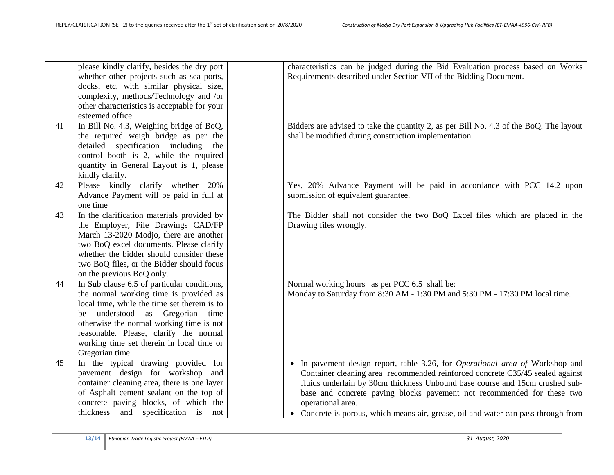|    | please kindly clarify, besides the dry port<br>whether other projects such as sea ports,<br>docks, etc, with similar physical size,<br>complexity, methods/Technology and /or<br>other characteristics is acceptable for your                                                                                                    | characteristics can be judged during the Bid Evaluation process based on Works<br>Requirements described under Section VII of the Bidding Document.                                                                                                                                                                                                                                                                                        |
|----|----------------------------------------------------------------------------------------------------------------------------------------------------------------------------------------------------------------------------------------------------------------------------------------------------------------------------------|--------------------------------------------------------------------------------------------------------------------------------------------------------------------------------------------------------------------------------------------------------------------------------------------------------------------------------------------------------------------------------------------------------------------------------------------|
| 41 | esteemed office.<br>In Bill No. 4.3, Weighing bridge of BoQ,<br>the required weigh bridge as per the                                                                                                                                                                                                                             | Bidders are advised to take the quantity 2, as per Bill No. 4.3 of the BoQ. The layout<br>shall be modified during construction implementation.                                                                                                                                                                                                                                                                                            |
|    | detailed specification including the<br>control booth is 2, while the required<br>quantity in General Layout is 1, please<br>kindly clarify.                                                                                                                                                                                     |                                                                                                                                                                                                                                                                                                                                                                                                                                            |
| 42 | Please kindly clarify whether 20%<br>Advance Payment will be paid in full at<br>one time                                                                                                                                                                                                                                         | Yes, 20% Advance Payment will be paid in accordance with PCC 14.2 upon<br>submission of equivalent guarantee.                                                                                                                                                                                                                                                                                                                              |
| 43 | In the clarification materials provided by<br>the Employer, File Drawings CAD/FP<br>March 13-2020 Modjo, there are another<br>two BoQ excel documents. Please clarify<br>whether the bidder should consider these<br>two BoQ files, or the Bidder should focus<br>on the previous BoQ only.                                      | The Bidder shall not consider the two BoQ Excel files which are placed in the<br>Drawing files wrongly.                                                                                                                                                                                                                                                                                                                                    |
| 44 | In Sub clause 6.5 of particular conditions,<br>the normal working time is provided as<br>local time, while the time set therein is to<br>understood as Gregorian time<br>be<br>otherwise the normal working time is not<br>reasonable. Please, clarify the normal<br>working time set therein in local time or<br>Gregorian time | Normal working hours as per PCC 6.5 shall be:<br>Monday to Saturday from 8:30 AM - 1:30 PM and 5:30 PM - 17:30 PM local time.                                                                                                                                                                                                                                                                                                              |
| 45 | In the typical drawing provided for<br>pavement design for workshop and<br>container cleaning area, there is one layer<br>of Asphalt cement sealant on the top of<br>concrete paving blocks, of which the<br>thickness and specification is not                                                                                  | • In pavement design report, table 3.26, for <i>Operational area of</i> Workshop and<br>Container cleaning area recommended reinforced concrete C35/45 sealed against<br>fluids underlain by 30cm thickness Unbound base course and 15cm crushed sub-<br>base and concrete paving blocks pavement not recommended for these two<br>operational area.<br>• Concrete is porous, which means air, grease, oil and water can pass through from |